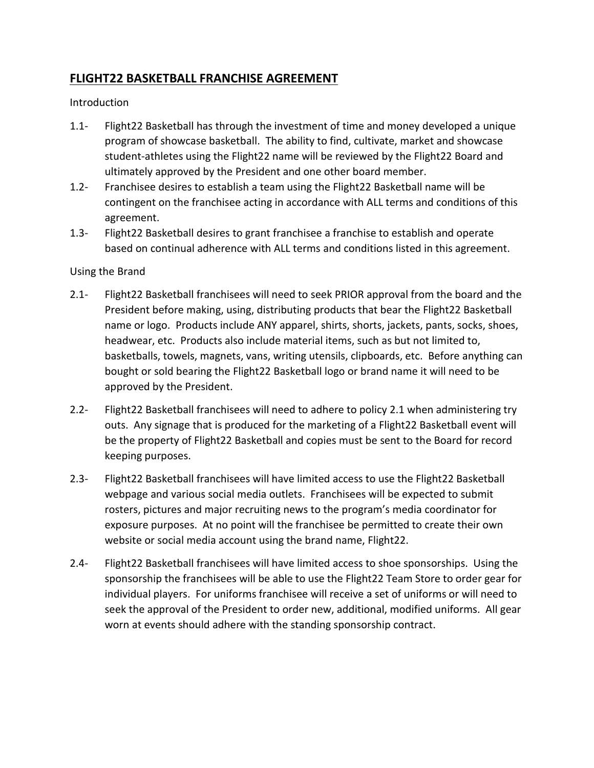## **FLIGHT22 BASKETBALL FRANCHISE AGREEMENT**

Introduction

- 1.1- Flight22 Basketball has through the investment of time and money developed a unique program of showcase basketball. The ability to find, cultivate, market and showcase student-athletes using the Flight22 name will be reviewed by the Flight22 Board and ultimately approved by the President and one other board member.
- 1.2- Franchisee desires to establish a team using the Flight22 Basketball name will be contingent on the franchisee acting in accordance with ALL terms and conditions of this agreement.
- 1.3- Flight22 Basketball desires to grant franchisee a franchise to establish and operate based on continual adherence with ALL terms and conditions listed in this agreement.

## Using the Brand

- 2.1- Flight22 Basketball franchisees will need to seek PRIOR approval from the board and the President before making, using, distributing products that bear the Flight22 Basketball name or logo. Products include ANY apparel, shirts, shorts, jackets, pants, socks, shoes, headwear, etc. Products also include material items, such as but not limited to, basketballs, towels, magnets, vans, writing utensils, clipboards, etc. Before anything can bought or sold bearing the Flight22 Basketball logo or brand name it will need to be approved by the President.
- 2.2- Flight22 Basketball franchisees will need to adhere to policy 2.1 when administering try outs. Any signage that is produced for the marketing of a Flight22 Basketball event will be the property of Flight22 Basketball and copies must be sent to the Board for record keeping purposes.
- 2.3- Flight22 Basketball franchisees will have limited access to use the Flight22 Basketball webpage and various social media outlets. Franchisees will be expected to submit rosters, pictures and major recruiting news to the program's media coordinator for exposure purposes. At no point will the franchisee be permitted to create their own website or social media account using the brand name, Flight22.
- 2.4- Flight22 Basketball franchisees will have limited access to shoe sponsorships. Using the sponsorship the franchisees will be able to use the Flight22 Team Store to order gear for individual players. For uniforms franchisee will receive a set of uniforms or will need to seek the approval of the President to order new, additional, modified uniforms. All gear worn at events should adhere with the standing sponsorship contract.